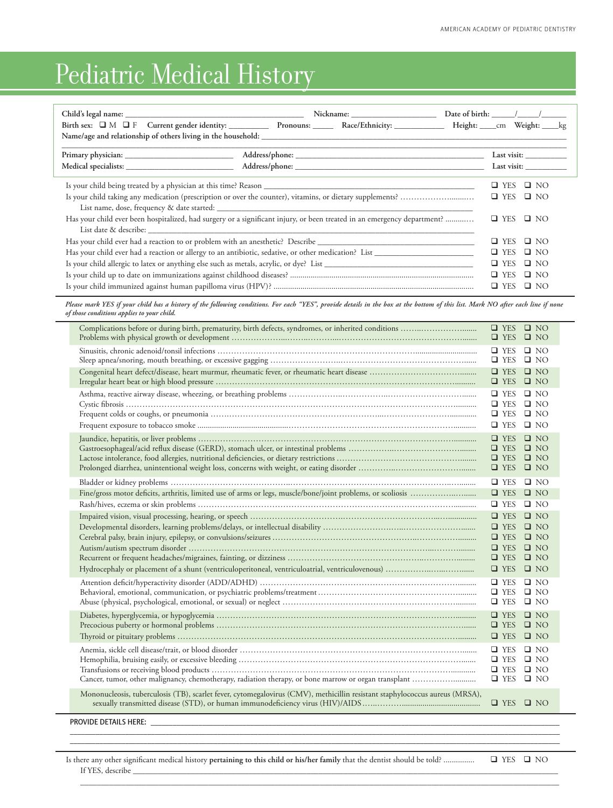## Pediatric Medical History

|                                                                                                                                                       | Birth sex: IM IF Current gender identity: ______________ Pronouns: ________ Race/Ethnicity: _______________ Height: ____cm Weight: ____kg | Date of birth: $\frac{1}{\sqrt{2}}$ |  |  |  |  |
|-------------------------------------------------------------------------------------------------------------------------------------------------------|-------------------------------------------------------------------------------------------------------------------------------------------|-------------------------------------|--|--|--|--|
|                                                                                                                                                       |                                                                                                                                           |                                     |  |  |  |  |
|                                                                                                                                                       |                                                                                                                                           | Last visit:                         |  |  |  |  |
|                                                                                                                                                       |                                                                                                                                           | $\Box$ NO<br>U YES                  |  |  |  |  |
| $\Box$ YES $\Box$ NO                                                                                                                                  |                                                                                                                                           |                                     |  |  |  |  |
| Has your child ever been hospitalized, had surgery or a significant injury, or been treated in an emergency department?<br>$\Box$ YES<br>$\square$ NO |                                                                                                                                           |                                     |  |  |  |  |
|                                                                                                                                                       | $\Box$ YES $\Box$ NO                                                                                                                      |                                     |  |  |  |  |
| Has your child ever had a reaction or allergy to an antibiotic, sedative, or other medication? List<br>$\Box$ YES $\Box$ NO                           |                                                                                                                                           |                                     |  |  |  |  |
| $\Box$ YES<br>$\square$ NO                                                                                                                            |                                                                                                                                           |                                     |  |  |  |  |
| $\Box$ YES<br>$\square$ NO                                                                                                                            |                                                                                                                                           |                                     |  |  |  |  |
| $\Box$ YES<br>$\Box$ NO                                                                                                                               |                                                                                                                                           |                                     |  |  |  |  |

*Please mark YES if your child has a history of the following conditions. For each "YES", provide details in the box at the bottom of this list. Mark NO after each line if none of those conditions applies to your child.*

|                                                                                                                                                                                                                                | $\Box$ YES $\Box$ NO<br>$\Box$ YES $\Box$ NO                                                                                      |  |  |  |  |
|--------------------------------------------------------------------------------------------------------------------------------------------------------------------------------------------------------------------------------|-----------------------------------------------------------------------------------------------------------------------------------|--|--|--|--|
|                                                                                                                                                                                                                                | $\Box$ YES $\Box$ NO<br>$\Box$ YES $\Box$ NO                                                                                      |  |  |  |  |
|                                                                                                                                                                                                                                | $\Box$ YES $\Box$ NO<br>$\Box$ YES $\Box$ NO                                                                                      |  |  |  |  |
|                                                                                                                                                                                                                                | $\Box$ YES $\Box$ NO<br>$\Box$ YES $\Box$ NO<br>$\Box$ YES $\Box$ NO<br>$\Box$ YES $\Box$ NO                                      |  |  |  |  |
|                                                                                                                                                                                                                                | $\Box$ YES $\Box$ NO<br>$\Box$ YES $\Box$ NO<br>$\Box$ YES $\Box$ NO<br>$\Box$ YES $\Box$ NO                                      |  |  |  |  |
| Fine/gross motor deficits, arthritis, limited use of arms or legs, muscle/bone/joint problems, or scoliosis                                                                                                                    | $\Box$ YES $\Box$ NO<br>$\Box$ YES $\Box$ NO                                                                                      |  |  |  |  |
|                                                                                                                                                                                                                                | $\Box$ YES $\Box$ NO                                                                                                              |  |  |  |  |
|                                                                                                                                                                                                                                | $\Box$ YES $\Box$ NO<br>$YES$ $N$<br>$\Box$ YES $\Box$ NO<br>$\Box$ YES $\Box$ NO<br>$\Box$ YES $\Box$ NO<br>$\Box$ YES $\Box$ NO |  |  |  |  |
|                                                                                                                                                                                                                                | $\Box$ YES $\Box$ NO<br>$\Box$ YES $\Box$ NO<br>$\Box$ YES $\Box$ NO                                                              |  |  |  |  |
|                                                                                                                                                                                                                                | $\Box$ YES $\Box$ NO<br>$\Box$ YES $\Box$ NO<br>$\Box$ YES $\Box$ NO                                                              |  |  |  |  |
|                                                                                                                                                                                                                                | $\Box$ YES $\Box$ NO<br>$\Box$ YES $\Box$ NO<br>$\Box$ YES $\Box$ NO<br>$\Box$ YES $\Box$ NO                                      |  |  |  |  |
| Mononucleosis, tuberculosis (TB), scarlet fever, cytomegalovirus (CMV), methicillin resistant staphylococcus aureus (MRSA),                                                                                                    | $\Box$ YES $\Box$ NO                                                                                                              |  |  |  |  |
| PROVIDE DETAILS HERE: THE RESERVE THAT A STATE OF THE RESERVE THAT A STATE OF THE RESERVE THAT A STATE OF THE STATE OF THE STATE OF THE STATE OF THE STATE OF THE STATE OF THE STATE OF THE STATE OF THE STATE OF THE STATE OF |                                                                                                                                   |  |  |  |  |

\_\_\_\_\_\_\_\_\_\_\_\_\_\_\_\_\_\_\_\_\_\_\_\_\_\_\_\_\_\_\_\_\_\_\_\_\_\_\_\_\_\_\_\_\_\_\_\_\_\_\_\_\_\_\_\_\_\_\_\_\_\_\_\_\_\_\_\_\_\_\_\_\_\_\_\_\_\_\_\_\_\_\_\_\_\_\_\_\_\_\_\_\_\_\_\_\_\_\_\_\_\_\_\_\_\_\_\_\_\_\_\_\_\_\_\_\_\_\_\_\_\_\_\_\_\_\_\_\_\_\_\_\_

 $\overline{\phantom{a}}$  , and the set of the set of the set of the set of the set of the set of the set of the set of the set of the set of the set of the set of the set of the set of the set of the set of the set of the set of the s

Is there any other significant medical history **pertaining to this child or his/her family** that the dentist should be told? ............... q YES q NO If YES, describe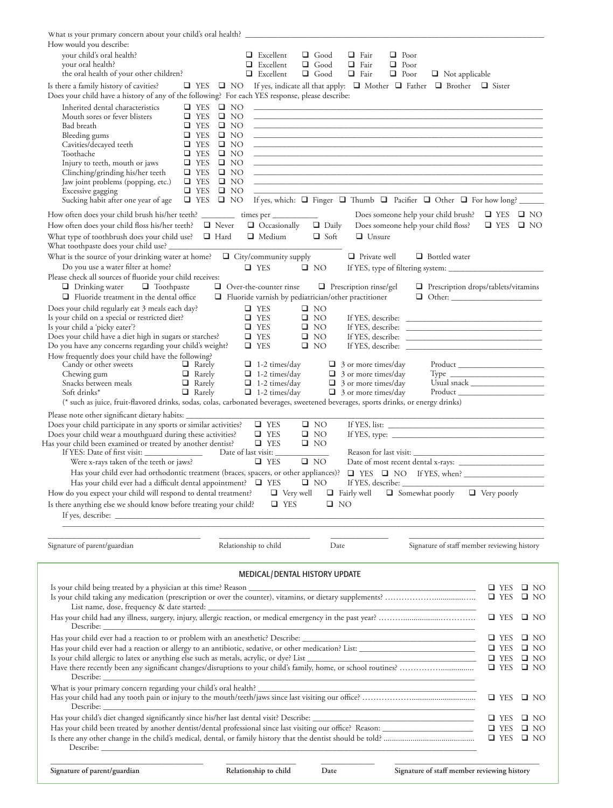| What is your primary concern about your child's oral health? ____________________<br>How would you describe:<br>your child's oral health?<br>your oral health?<br>the oral health of your other children?                                                                                                                                                                                                                                                                                                                                                                                                                                                                                                                                                                                                                                                                                                                                                                                                                                                                                                                                                                                                                                                                                                                                     |                                                                                                                                                                                          | $\Box$ Excellent<br>$\Box$ Excellent<br>$\Box$ Excellent                                                                                                                               | $\Box$ Good<br>$\Box$ Good<br>$\Box$ Good                                                                                                                  | $\Box$ Fair<br>$\Box$ Poor<br>$\Box$ Fair<br>$\Box$ Poor<br>$\Box$ Fair<br>$\Box$ Poor                                                                                      | $\Box$ Not applicable                                                                                                                                                                                                                                                                                                                                                                                                                                                                                                                                                                                                                                                                                                                                                                                                                          |                                              |                              |
|-----------------------------------------------------------------------------------------------------------------------------------------------------------------------------------------------------------------------------------------------------------------------------------------------------------------------------------------------------------------------------------------------------------------------------------------------------------------------------------------------------------------------------------------------------------------------------------------------------------------------------------------------------------------------------------------------------------------------------------------------------------------------------------------------------------------------------------------------------------------------------------------------------------------------------------------------------------------------------------------------------------------------------------------------------------------------------------------------------------------------------------------------------------------------------------------------------------------------------------------------------------------------------------------------------------------------------------------------|------------------------------------------------------------------------------------------------------------------------------------------------------------------------------------------|----------------------------------------------------------------------------------------------------------------------------------------------------------------------------------------|------------------------------------------------------------------------------------------------------------------------------------------------------------|-----------------------------------------------------------------------------------------------------------------------------------------------------------------------------|------------------------------------------------------------------------------------------------------------------------------------------------------------------------------------------------------------------------------------------------------------------------------------------------------------------------------------------------------------------------------------------------------------------------------------------------------------------------------------------------------------------------------------------------------------------------------------------------------------------------------------------------------------------------------------------------------------------------------------------------------------------------------------------------------------------------------------------------|----------------------------------------------|------------------------------|
| Is there a family history of cavities?                                                                                                                                                                                                                                                                                                                                                                                                                                                                                                                                                                                                                                                                                                                                                                                                                                                                                                                                                                                                                                                                                                                                                                                                                                                                                                        | $\Box$ YES $\Box$ NO                                                                                                                                                                     |                                                                                                                                                                                        |                                                                                                                                                            |                                                                                                                                                                             | If yes, indicate all that apply: $\Box$ Mother $\Box$ Father $\Box$ Brother $\Box$ Sister                                                                                                                                                                                                                                                                                                                                                                                                                                                                                                                                                                                                                                                                                                                                                      |                                              |                              |
| Does your child have a history of any of the following? For each YES response, please describe:                                                                                                                                                                                                                                                                                                                                                                                                                                                                                                                                                                                                                                                                                                                                                                                                                                                                                                                                                                                                                                                                                                                                                                                                                                               |                                                                                                                                                                                          |                                                                                                                                                                                        |                                                                                                                                                            |                                                                                                                                                                             |                                                                                                                                                                                                                                                                                                                                                                                                                                                                                                                                                                                                                                                                                                                                                                                                                                                |                                              |                              |
| Inherited dental characteristics<br>$\Box$ YES<br>Mouth sores or fever blisters<br>Bad breath<br>$\Box$ YES<br>$\Box$ YES<br>Bleeding gums<br>Cavities/decayed teeth<br>$\Box$ YES<br>Toothache<br>$\Box$ YES<br>Injury to teeth, mouth or jaws<br>$\Box$ YES<br>Clinching/grinding his/her teeth<br>$\Box$ YES<br>$\Box$ YES<br>Jaw joint problems (popping, etc.)<br>Excessive gagging<br>$\Box$ YES<br>Sucking habit after one year of age                                                                                                                                                                                                                                                                                                                                                                                                                                                                                                                                                                                                                                                                                                                                                                                                                                                                                                 | $\Box$ YES $\Box$ NO<br>$\square$ NO<br>$\Box$ NO<br>$\Box$ NO<br>$\square$ NO<br>$\Box$ NO<br>$\square$ NO<br>$\Box$ NO<br>$\Box$ NO<br>$\square$ NO<br>$\Box$ YES $\Box$ NO            |                                                                                                                                                                                        |                                                                                                                                                            |                                                                                                                                                                             | <u> 1980 - Johann Harry Harry Harry Harry Harry Harry Harry Harry Harry Harry Harry Harry Harry Harry Harry Harry</u><br><u> 1980 - Johann Harry Harry Harry Harry Harry Harry Harry Harry Harry Harry Harry Harry Harry Harry Harry Harry</u><br><u> 1980 - Johann Harry Harry Harry Harry Harry Harry Harry Harry Harry Harry Harry Harry Harry Harry Harry Harry</u><br><u> 1989 - Johann John Harry, mars ar yn y brenin y brenin y brenin y brenin y brenin y brenin y brenin y brenin</u><br><u> 1989 - Andrea Santa Andrea Andrea Andrea Andrea Andrea Andrea Andrea Andrea Andrea Andrea Andrea Andrea Andr</u><br><u> 1989 - Johann John Harry, mars ar yn y breninn y breninn y breninn y breninn y breninn y breninn y breninn y</u><br>If yes, which: $\Box$ Finger $\Box$ Thumb $\Box$ Pacifier $\Box$ Other $\Box$ For how long? |                                              |                              |
| How often does your child brush his/her teeth? ____________ times per ___________                                                                                                                                                                                                                                                                                                                                                                                                                                                                                                                                                                                                                                                                                                                                                                                                                                                                                                                                                                                                                                                                                                                                                                                                                                                             |                                                                                                                                                                                          |                                                                                                                                                                                        |                                                                                                                                                            |                                                                                                                                                                             | Does someone help your child brush?                                                                                                                                                                                                                                                                                                                                                                                                                                                                                                                                                                                                                                                                                                                                                                                                            | $\Box$ YES $\Box$ NO                         |                              |
| How often does your child floss his/her teeth? $\Box$ Never<br>What type of toothbrush does your child use?<br>What toothpaste does your child use? _                                                                                                                                                                                                                                                                                                                                                                                                                                                                                                                                                                                                                                                                                                                                                                                                                                                                                                                                                                                                                                                                                                                                                                                         | $\Box$ Hard                                                                                                                                                                              | $\Box$ Occasionally<br>$\Box$ Medium                                                                                                                                                   | $\Box$ Daily<br>$\Box$ Soft                                                                                                                                | $\Box$ Unsure                                                                                                                                                               | Does someone help your child floss?                                                                                                                                                                                                                                                                                                                                                                                                                                                                                                                                                                                                                                                                                                                                                                                                            | $\Box$ YES $\Box$ NO                         |                              |
| What is the source of your drinking water at home? $\Box$ City/community supply<br>Do you use a water filter at home?<br>Please check all sources of fluoride your child receives:                                                                                                                                                                                                                                                                                                                                                                                                                                                                                                                                                                                                                                                                                                                                                                                                                                                                                                                                                                                                                                                                                                                                                            | $\Box$ YES                                                                                                                                                                               |                                                                                                                                                                                        | $\square$ NO                                                                                                                                               | $\Box$ Private well                                                                                                                                                         | $\Box$ Bottled water                                                                                                                                                                                                                                                                                                                                                                                                                                                                                                                                                                                                                                                                                                                                                                                                                           |                                              |                              |
| $\Box$ Drinking water $\Box$ Toothpaste<br>$\Box$ Fluoride treatment in the dental office<br>Does your child regularly eat 3 meals each day?<br>Is your child on a special or restricted diet?<br>Is your child a 'picky eater'?<br>Does your child have a diet high in sugars or starches?<br>Do you have any concerns regarding your child's weight?<br>How frequently does your child have the following?<br>Candy or other sweets<br>$\Box$ Rarely<br>$\Box$ Rarely<br>Chewing gum<br>Snacks between meals<br>$\Box$ Rarely<br>Soft drinks*<br>$\Box$ Rarely<br>(* such as juice, fruit-flavored drinks, sodas, colas, carbonated beverages, sweetened beverages, sports drinks, or energy drinks)<br>Please note other significant dietary habits: ___________________________________<br>Does your child participate in any sports or similar activities?<br>Does your child wear a mouthguard during these activities?<br>Has your child been examined or treated by another dentist?<br>Were x-rays taken of the teeth or jaws?<br>Has your child ever had orthodontic treatment (braces, spacers, or other appliances)?<br>Has your child ever had a difficult dental appointment? $\Box$ YES<br>How do you expect your child will respond to dental treatment?<br>Is there anything else we should know before treating your child? | $\Box$ Over-the-counter rinse<br>$\Box$ Fluoride varnish by pediatrician/other practitioner<br>$\Box$ YES<br>$\Box$ YES<br>$\Box$ YES<br>$\Box$ YES<br>$\Box$ YES<br>Date of last visit: | $\Box$ 1-2 times/day<br>$\Box$ 1-2 times/day<br>$\Box$ 1-2 times/day<br>$\Box$ 1-2 times/day<br>$\Box$ YES<br>$\Box$ YES<br>$\Box$ YES<br>$\Box$ YES<br>$\Box$ Very well<br>$\Box$ YES | $\square$ NO<br>$\square$ NO<br>$\square$ NO<br>$\Box$ NO<br>$\Box$ NO<br>$\Box$ NO<br>$\square$ NO<br>$\Box$ NO<br>$\Box$ NO<br>$\Box$ NO<br>$\square$ NO | $\Box$ Prescription rinse/gel<br>$\Box$ 3 or more times/day<br>$\Box$ 3 or more times/day<br>$\Box$ 3 or more times/day<br>$\Box$ 3 or more times/day<br>$\Box$ Fairly well | Prescription drops/tablets/vitamins<br>If YES, describe:<br>$\Box$ Somewhat poorly $\Box$ Very poorly                                                                                                                                                                                                                                                                                                                                                                                                                                                                                                                                                                                                                                                                                                                                          |                                              |                              |
|                                                                                                                                                                                                                                                                                                                                                                                                                                                                                                                                                                                                                                                                                                                                                                                                                                                                                                                                                                                                                                                                                                                                                                                                                                                                                                                                               |                                                                                                                                                                                          |                                                                                                                                                                                        |                                                                                                                                                            |                                                                                                                                                                             |                                                                                                                                                                                                                                                                                                                                                                                                                                                                                                                                                                                                                                                                                                                                                                                                                                                |                                              |                              |
| Signature of parent/guardian                                                                                                                                                                                                                                                                                                                                                                                                                                                                                                                                                                                                                                                                                                                                                                                                                                                                                                                                                                                                                                                                                                                                                                                                                                                                                                                  | Relationship to child                                                                                                                                                                    |                                                                                                                                                                                        | Date                                                                                                                                                       |                                                                                                                                                                             | Signature of staff member reviewing history                                                                                                                                                                                                                                                                                                                                                                                                                                                                                                                                                                                                                                                                                                                                                                                                    |                                              |                              |
|                                                                                                                                                                                                                                                                                                                                                                                                                                                                                                                                                                                                                                                                                                                                                                                                                                                                                                                                                                                                                                                                                                                                                                                                                                                                                                                                               |                                                                                                                                                                                          |                                                                                                                                                                                        |                                                                                                                                                            |                                                                                                                                                                             |                                                                                                                                                                                                                                                                                                                                                                                                                                                                                                                                                                                                                                                                                                                                                                                                                                                |                                              |                              |
|                                                                                                                                                                                                                                                                                                                                                                                                                                                                                                                                                                                                                                                                                                                                                                                                                                                                                                                                                                                                                                                                                                                                                                                                                                                                                                                                               |                                                                                                                                                                                          | MEDICAL/DENTAL HISTORY UPDATE                                                                                                                                                          |                                                                                                                                                            |                                                                                                                                                                             |                                                                                                                                                                                                                                                                                                                                                                                                                                                                                                                                                                                                                                                                                                                                                                                                                                                |                                              |                              |
| Is your child being treated by a physician at this time? Reason<br>List name, dose, frequency & date started: _                                                                                                                                                                                                                                                                                                                                                                                                                                                                                                                                                                                                                                                                                                                                                                                                                                                                                                                                                                                                                                                                                                                                                                                                                               |                                                                                                                                                                                          |                                                                                                                                                                                        |                                                                                                                                                            |                                                                                                                                                                             |                                                                                                                                                                                                                                                                                                                                                                                                                                                                                                                                                                                                                                                                                                                                                                                                                                                | $\Box$ YES<br>$\Box$ YES                     | $\square$ NO<br>$\square$ NO |
|                                                                                                                                                                                                                                                                                                                                                                                                                                                                                                                                                                                                                                                                                                                                                                                                                                                                                                                                                                                                                                                                                                                                                                                                                                                                                                                                               |                                                                                                                                                                                          |                                                                                                                                                                                        |                                                                                                                                                            |                                                                                                                                                                             | $\Box$ YES                                                                                                                                                                                                                                                                                                                                                                                                                                                                                                                                                                                                                                                                                                                                                                                                                                     | $\square$ NO                                 |                              |
|                                                                                                                                                                                                                                                                                                                                                                                                                                                                                                                                                                                                                                                                                                                                                                                                                                                                                                                                                                                                                                                                                                                                                                                                                                                                                                                                               |                                                                                                                                                                                          |                                                                                                                                                                                        |                                                                                                                                                            |                                                                                                                                                                             |                                                                                                                                                                                                                                                                                                                                                                                                                                                                                                                                                                                                                                                                                                                                                                                                                                                | $\Box$ YES                                   | $\square$ NO                 |
|                                                                                                                                                                                                                                                                                                                                                                                                                                                                                                                                                                                                                                                                                                                                                                                                                                                                                                                                                                                                                                                                                                                                                                                                                                                                                                                                               |                                                                                                                                                                                          |                                                                                                                                                                                        |                                                                                                                                                            | $\Box$ YES<br>$\Box$ YES<br>$\Box$ YES                                                                                                                                      | $\square$ NO<br>$\square$ NO<br>$\square$ NO                                                                                                                                                                                                                                                                                                                                                                                                                                                                                                                                                                                                                                                                                                                                                                                                   |                                              |                              |
|                                                                                                                                                                                                                                                                                                                                                                                                                                                                                                                                                                                                                                                                                                                                                                                                                                                                                                                                                                                                                                                                                                                                                                                                                                                                                                                                               |                                                                                                                                                                                          |                                                                                                                                                                                        |                                                                                                                                                            |                                                                                                                                                                             | $\Box$ YES $\Box$ NO                                                                                                                                                                                                                                                                                                                                                                                                                                                                                                                                                                                                                                                                                                                                                                                                                           |                                              |                              |
| <u> 1989 - Johann Harry Harry Harry Harry Harry Harry Harry Harry Harry Harry Harry Harry Harry Harry Harry Harry Harry Harry Harry Harry Harry Harry Harry Harry Harry Harry Harry Harry Harry Harry Harry Harry Harry Harry Ha</u>                                                                                                                                                                                                                                                                                                                                                                                                                                                                                                                                                                                                                                                                                                                                                                                                                                                                                                                                                                                                                                                                                                          |                                                                                                                                                                                          |                                                                                                                                                                                        |                                                                                                                                                            |                                                                                                                                                                             | $\Box$ YES<br>$\Box$ YES<br>$\Box$ YES                                                                                                                                                                                                                                                                                                                                                                                                                                                                                                                                                                                                                                                                                                                                                                                                         | $\square$ NO<br>$\square$ NO<br>$\square$ NO |                              |
| Signature of parent/guardian                                                                                                                                                                                                                                                                                                                                                                                                                                                                                                                                                                                                                                                                                                                                                                                                                                                                                                                                                                                                                                                                                                                                                                                                                                                                                                                  | Relationship to child                                                                                                                                                                    |                                                                                                                                                                                        | Date                                                                                                                                                       |                                                                                                                                                                             | Signature of staff member reviewing history                                                                                                                                                                                                                                                                                                                                                                                                                                                                                                                                                                                                                                                                                                                                                                                                    |                                              |                              |